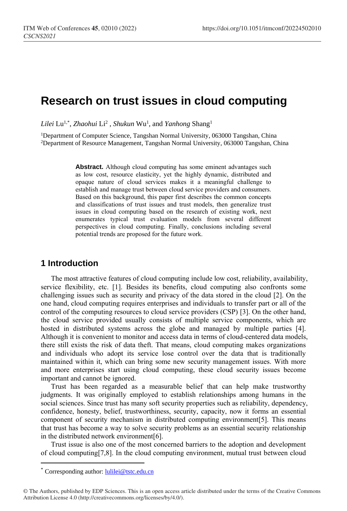# **Research on trust issues in cloud computing**

*Lilei* Lu1,\* , *Zhaohui* Li<sup>2</sup> , *Shukun* Wu<sup>1</sup> , and *Yanhong* Shang<sup>1</sup>

<sup>1</sup>Department of Computer Science, Tangshan Normal University, 063000 Tangshan, China <sup>2</sup>Department of Resource Management, Tangshan Normal University, 063000 Tangshan, China

> **Abstract.** Although cloud computing has some eminent advantages such as low cost, resource elasticity, yet the highly dynamic, distributed and opaque nature of cloud services makes it a meaningful challenge to establish and manage trust between cloud service providers and consumers. Based on this background, this paper first describes the common concepts and classifications of trust issues and trust models, then generalize trust issues in cloud computing based on the research of existing work, next enumerates typical trust evaluation models from several different perspectives in cloud computing. Finally, conclusions including several potential trends are proposed for the future work.

## **1 Introduction**

The most attractive features of cloud computing include low cost, reliability, availability, service flexibility, etc. [1]. Besides its benefits, cloud computing also confronts some challenging issues such as security and privacy of the data stored in the cloud [2]. On the one hand, cloud computing requires enterprises and individuals to transfer part or all of the control of the computing resources to cloud service providers (CSP) [3]. On the other hand, the cloud service provided usually consists of multiple service components, which are hosted in distributed systems across the globe and managed by multiple parties [4]. Although it is convenient to monitor and access data in terms of cloud-centered data models, there still exists the risk of data theft. That means, cloud computing makes organizations and individuals who adopt its service lose control over the data that is traditionally maintained within it, which can bring some new security management issues. With more and more enterprises start using cloud computing, these cloud security issues become important and cannot be ignored.

Trust has been regarded as a measurable belief that can help make trustworthy judgments. It was originally employed to establish relationships among humans in the social sciences. Since trust has many soft security properties such as reliability, dependency, confidence, honesty, belief, trustworthiness, security, capacity, now it forms an essential component of security mechanism in distributed computing environment[5]. This means that trust has become a way to solve security problems as an essential security relationship in the distributed network environment[6].

Trust issue is also one of the most concerned barriers to the adoption and development of cloud computing[7,8]. In the cloud computing environment, mutual trust between cloud

 $\overline{a}$ 

<sup>\*</sup> Corresponding author: [lulilei@tstc.edu.cn](mailto:lulilei@tstc.edu.cn)

<sup>©</sup> The Authors, published by EDP Sciences. This is an open access article distributed under the terms of the Creative Commons Attribution License 4.0 (http://creativecommons.org/licenses/by/4.0/).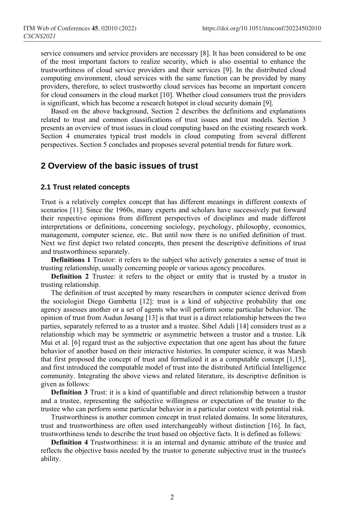service consumers and service providers are necessary [8]. It has been considered to be one of the most important factors to realize security, which is also essential to enhance the trustworthiness of cloud service providers and their services [9]. In the distributed cloud computing environment, cloud services with the same function can be provided by many providers, therefore, to select trustworthy cloud services has become an important concern for cloud consumers in the cloud market [10]. Whether cloud consumers trust the providers is significant, which has become a research hotspot in cloud security domain [9].

Based on the above background, Section 2 describes the definitions and explanations related to trust and common classifications of trust issues and trust models. Section 3 presents an overview of trust issues in cloud computing based on the existing research work. Section 4 enumerates typical trust models in cloud computing from several different perspectives. Section 5 concludes and proposes several potential trends for future work.

## **2 Overview of the basic issues of trust**

#### **2.1 Trust related concepts**

Trust is a relatively complex concept that has different meanings in different contexts of scenarios [11]. Since the 1960s, many experts and scholars have successively put forward their respective opinions from different perspectives of disciplines and made different interpretations or definitions, concerning sociology, psychology, philosophy, economics, management, computer science, etc.. But until now there is no unified definition of trust. Next we first depict two related concepts, then present the descriptive definitions of trust and trustworthiness separately.

**Definitions 1** Trustor: it refers to the subject who actively generates a sense of trust in trusting relationship, usually concerning people or various agency procedures.

**Definition 2** Trustee: it refers to the object or entity that is trusted by a trustor in trusting relationship.

The definition of trust accepted by many researchers in computer science derived from the sociologist Diego Gambetta [12]: trust is a kind of subjective probability that one agency assesses another or a set of agents who will perform some particular behavior. The opinion of trust from Audun Jøsang [13] is that trust is a direct relationship between the two parties, separately referred to as a trustor and a trustee. Sibel Adali [14] considers trust as a relationship which may be symmetric or asymmetric between a trustor and a trustee. Lik Mui et al. [6] regard trust as the subjective expectation that one agent has about the future behavior of another based on their interactive histories. In computer science, it was Marsh that first proposed the concept of trust and formalized it as a computable concept [1,15], and first introduced the computable model of trust into the distributed Artificial Intelligence community. Integrating the above views and related literature, its descriptive definition is given as follows:

**Definition 3** Trust: it is a kind of quantifiable and direct relationship between a trustor and a trustee, representing the subjective willingness or expectation of the trustor to the trustee who can perform some particular behavior in a particular context with potential risk.

Trustworthiness is another common concept in trust related domains. In some literatures, trust and trustworthiness are often used interchangeably without distinction [16]. In fact, trustworthiness tends to describe the trust based on objective facts. It is defined as follows:

**Definition 4** Trustworthiness: it is an internal and dynamic attribute of the trustee and reflects the objective basis needed by the trustor to generate subjective trust in the trustee's ability.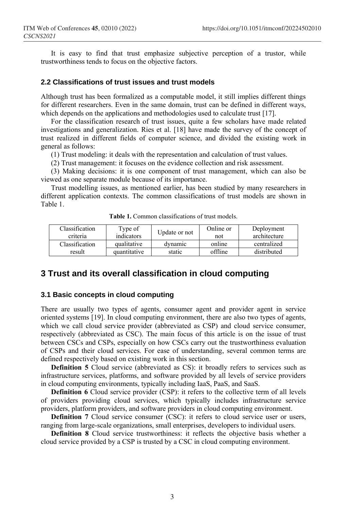It is easy to find that trust emphasize subjective perception of a trustor, while trustworthiness tends to focus on the objective factors.

#### **2.2 Classifications of trust issues and trust models**

Although trust has been formalized as a computable model, it still implies different things for different researchers. Even in the same domain, trust can be defined in different ways, which depends on the applications and methodologies used to calculate trust [17].

For the classification research of trust issues, quite a few scholars have made related investigations and generalization. Ries et al. [18] have made the survey of the concept of trust realized in different fields of computer science, and divided the existing work in general as follows:

(1) Trust modeling: it deals with the representation and calculation of trust values.

(2) Trust management: it focuses on the evidence collection and risk assessment.

(3) Making decisions: it is one component of trust management, which can also be viewed as one separate module because of its importance.

Trust modelling issues, as mentioned earlier, has been studied by many researchers in different application contexts. The common classifications of trust models are shown in Table 1.

| Classification | Type of      | Update or not | Online or | Deployment   |
|----------------|--------------|---------------|-----------|--------------|
| criteria       | indicators   |               | not       | architecture |
| Classification | qualitative  | dvnamic       | online    | centralized  |
| result         | quantitative | static        | offline   | distributed  |

**Table 1.** Common classifications of trust models.

# **3 Trust and its overall classification in cloud computing**

#### **3.1 Basic concepts in cloud computing**

There are usually two types of agents, consumer agent and provider agent in service oriented systems [19]. In cloud computing environment, there are also two types of agents, which we call cloud service provider (abbreviated as CSP) and cloud service consumer, respectively (abbreviated as CSC). The main focus of this article is on the issue of trust between CSCs and CSPs, especially on how CSCs carry out the trustworthiness evaluation of CSPs and their cloud services. For ease of understanding, several common terms are defined respectively based on existing work in this section.

**Definition 5** Cloud service (abbreviated as CS): it broadly refers to services such as infrastructure services, platforms, and software provided by all levels of service providers in cloud computing environments, typically including IaaS, PaaS, and SaaS.

**Definition 6** Cloud service provider (CSP): it refers to the collective term of all levels of providers providing cloud services, which typically includes infrastructure service providers, platform providers, and software providers in cloud computing environment.

**Definition** 7 Cloud service consumer (CSC): it refers to cloud service user or users, ranging from large-scale organizations, small enterprises, developers to individual users.

**Definition 8** Cloud service trustworthiness: it reflects the objective basis whether a cloud service provided by a CSP is trusted by a CSC in cloud computing environment.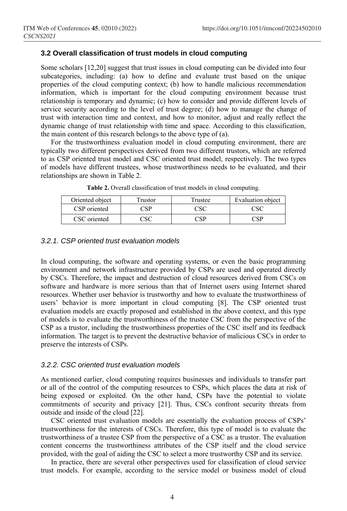#### **3.2 Overall classification of trust models in cloud computing**

Some scholars [12,20] suggest that trust issues in cloud computing can be divided into four subcategories, including: (a) how to define and evaluate trust based on the unique properties of the cloud computing context; (b) how to handle malicious recommendation information, which is important for the cloud computing environment because trust relationship is temporary and dynamic; (c) how to consider and provide different levels of service security according to the level of trust degree; (d) how to manage the change of trust with interaction time and context, and how to monitor, adjust and really reflect the dynamic change of trust relationship with time and space. According to this classification, the main content of this research belongs to the above type of (a).

For the trustworthiness evaluation model in cloud computing environment, there are typically two different perspectives derived from two different trustors, which are referred to as CSP oriented trust model and CSC oriented trust model, respectively. The two types of models have different trustees, whose trustworthiness needs to be evaluated, and their relationships are shown in Table 2.

| Oriented object | Trustor | Trustee | Evaluation object |
|-----------------|---------|---------|-------------------|
| CSP oriented    | 'SP     | 2SC     | CSC               |
| CSC oriented    |         |         | <sup>A</sup> CD   |

**Table 2.** Overall classification of trust models in cloud computing.

#### *3.2.1. CSP oriented trust evaluation models*

In cloud computing, the software and operating systems, or even the basic programming environment and network infrastructure provided by CSPs are used and operated directly by CSCs. Therefore, the impact and destruction of cloud resources derived from CSCs on software and hardware is more serious than that of Internet users using Internet shared resources. Whether user behavior is trustworthy and how to evaluate the trustworthiness of users' behavior is more important in cloud computing [8]. The CSP oriented trust evaluation models are exactly proposed and established in the above context, and this type of models is to evaluate the trustworthiness of the trustee CSC from the perspective of the CSP as a trustor, including the trustworthiness properties of the CSC itself and its feedback information. The target is to prevent the destructive behavior of malicious CSCs in order to preserve the interests of CSPs.

#### *3.2.2. CSC oriented trust evaluation models*

As mentioned earlier, cloud computing requires businesses and individuals to transfer part or all of the control of the computing resources to CSPs, which places the data at risk of being exposed or exploited. On the other hand, CSPs have the potential to violate commitments of security and privacy [21]. Thus, CSCs confront security threats from outside and inside of the cloud [22].

CSC oriented trust evaluation models are essentially the evaluation process of CSPs' trustworthiness for the interests of CSCs. Therefore, this type of model is to evaluate the trustworthiness of a trustee CSP from the perspective of a CSC as a trustor. The evaluation content concerns the trustworthiness attributes of the CSP itself and the cloud service provided, with the goal of aiding the CSC to select a more trustworthy CSP and its service.

In practice, there are several other perspectives used for classification of cloud service trust models. For example, according to the service model or business model of cloud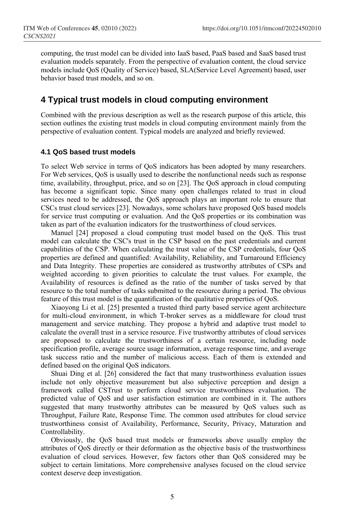computing, the trust model can be divided into IaaS based, PaaS based and SaaS based trust evaluation models separately. From the perspective of evaluation content, the cloud service models include QoS (Quality of Service) based, SLA(Service Level Agreement) based, user behavior based trust models, and so on.

## **4 Typical trust models in cloud computing environment**

Combined with the previous description as well as the research purpose of this article, this section outlines the existing trust models in cloud computing environment mainly from the perspective of evaluation content. Typical models are analyzed and briefly reviewed.

#### **4.1 QoS based trust models**

To select Web service in terms of QoS indicators has been adopted by many researchers. For Web services, QoS is usually used to describe the nonfunctional needs such as response time, availability, throughput, price, and so on [23]. The QoS approach in cloud computing has become a significant topic. Since many open challenges related to trust in cloud services need to be addressed, the QoS approach plays an important role to ensure that CSCs trust cloud services [23]. Nowadays, some scholars have proposed QoS based models for service trust computing or evaluation. And the QoS properties or its combination was taken as part of the evaluation indicators for the trustworthiness of cloud services.

Manuel [24] proposed a cloud computing trust model based on the QoS. This trust model can calculate the CSC's trust in the CSP based on the past credentials and current capabilities of the CSP. When calculating the trust value of the CSP credentials, four QoS properties are defined and quantified: Availability, Reliability, and Turnaround Efficiency and Data Integrity. These properties are considered as trustworthy attributes of CSPs and weighted according to given priorities to calculate the trust values. For example, the Availability of resources is defined as the ratio of the number of tasks served by that resource to the total number of tasks submitted to the resource during a period. The obvious feature of this trust model is the quantification of the qualitative properties of QoS.

Xiaoyong Li et al. [25] presented a trusted third party based service agent architecture for multi-cloud environment, in which T-broker serves as a middleware for cloud trust management and service matching. They propose a hybrid and adaptive trust model to calculate the overall trust in a service resource. Five trustworthy attributes of cloud services are proposed to calculate the trustworthiness of a certain resource, including node specification profile, average source usage information, average response time, and average task success ratio and the number of malicious access. Each of them is extended and defined based on the original QoS indicators.

Shuai Ding et al. [26] considered the fact that many trustworthiness evaluation issues include not only objective measurement but also subjective perception and design a framework called CSTrust to perform cloud service trustworthiness evaluation. The predicted value of QoS and user satisfaction estimation are combined in it. The authors suggested that many trustworthy attributes can be measured by QoS values such as Throughput, Failure Rate, Response Time. The common used attributes for cloud service trustworthiness consist of Availability, Performance, Security, Privacy, Maturation and Controllability.

Obviously, the QoS based trust models or frameworks above usually employ the attributes of QoS directly or their deformation as the objective basis of the trustworthiness evaluation of cloud services. However, few factors other than QoS considered may be subject to certain limitations. More comprehensive analyses focused on the cloud service context deserve deep investigation.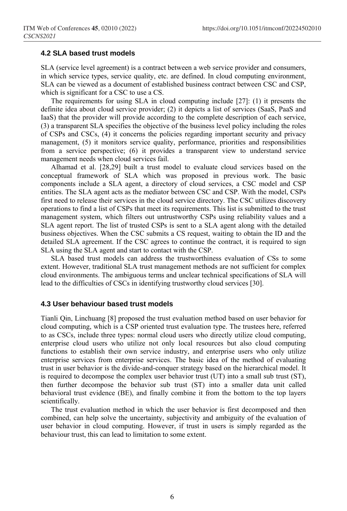#### **4.2 SLA based trust models**

SLA (service level agreement) is a contract between a web service provider and consumers, in which service types, service quality, etc. are defined. In cloud computing environment, SLA can be viewed as a document of established business contract between CSC and CSP, which is significant for a CSC to use a CS.

The requirements for using SLA in cloud computing include [27]: (1) it presents the definite idea about cloud service provider; (2) it depicts a list of services (SaaS, PaaS and IaaS) that the provider will provide according to the complete description of each service, (3) a transparent SLA specifies the objective of the business level policy including the roles of CSPs and CSCs, (4) it concerns the policies regarding important security and privacy management, (5) it monitors service quality, performance, priorities and responsibilities from a service perspective; (6) it provides a transparent view to understand service management needs when cloud services fail.

Alhamad et al. [28,29] built a trust model to evaluate cloud services based on the conceptual framework of SLA which was proposed in previous work. The basic components include a SLA agent, a directory of cloud services, a CSC model and CSP entities. The SLA agent acts as the mediator between CSC and CSP. With the model, CSPs first need to release their services in the cloud service directory. The CSC utilizes discovery operations to find a list of CSPs that meet its requirements. This list is submitted to the trust management system, which filters out untrustworthy CSPs using reliability values and a SLA agent report. The list of trusted CSPs is sent to a SLA agent along with the detailed business objectives. When the CSC submits a CS request, waiting to obtain the ID and the detailed SLA agreement. If the CSC agrees to continue the contract, it is required to sign SLA using the SLA agent and start to contact with the CSP.

SLA based trust models can address the trustworthiness evaluation of CSs to some extent. However, traditional SLA trust management methods are not sufficient for complex cloud environments. The ambiguous terms and unclear technical specifications of SLA will lead to the difficulties of CSCs in identifying trustworthy cloud services [30].

#### **4.3 User behaviour based trust models**

Tianli Qin, Linchuang [8] proposed the trust evaluation method based on user behavior for cloud computing, which is a CSP oriented trust evaluation type. The trustees here, referred to as CSCs, include three types: normal cloud users who directly utilize cloud computing, enterprise cloud users who utilize not only local resources but also cloud computing functions to establish their own service industry, and enterprise users who only utilize enterprise services from enterprise services. The basic idea of the method of evaluating trust in user behavior is the divide-and-conquer strategy based on the hierarchical model. It is required to decompose the complex user behavior trust (UT) into a small sub trust (ST), then further decompose the behavior sub trust (ST) into a smaller data unit called behavioral trust evidence (BE), and finally combine it from the bottom to the top layers scientifically.

The trust evaluation method in which the user behavior is first decomposed and then combined, can help solve the uncertainty, subjectivity and ambiguity of the evaluation of user behavior in cloud computing. However, if trust in users is simply regarded as the behaviour trust, this can lead to limitation to some extent.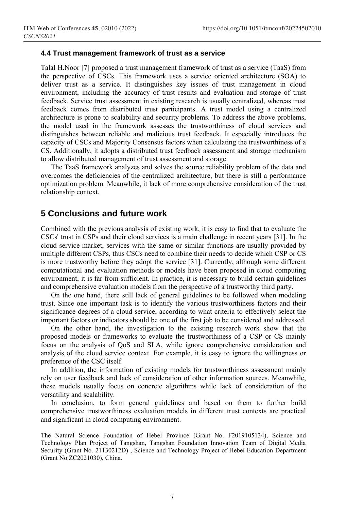#### **4.4 Trust management framework of trust as a service**

Talal H.Noor [7] proposed a trust management framework of trust as a service (TaaS) from the perspective of CSCs. This framework uses a service oriented architecture (SOA) to deliver trust as a service. It distinguishes key issues of trust management in cloud environment, including the accuracy of trust results and evaluation and storage of trust feedback. Service trust assessment in existing research is usually centralized, whereas trust feedback comes from distributed trust participants. A trust model using a centralized architecture is prone to scalability and security problems. To address the above problems, the model used in the framework assesses the trustworthiness of cloud services and distinguishes between reliable and malicious trust feedback. It especially introduces the capacity of CSCs and Majority Consensus factors when calculating the trustworthiness of a CS. Additionally, it adopts a distributed trust feedback assessment and storage mechanism to allow distributed management of trust assessment and storage.

The TaaS framework analyzes and solves the source reliability problem of the data and overcomes the deficiencies of the centralized architecture, but there is still a performance optimization problem. Meanwhile, it lack of more comprehensive consideration of the trust relationship context.

## **5 Conclusions and future work**

Combined with the previous analysis of existing work, it is easy to find that to evaluate the CSCs' trust in CSPs and their cloud services is a main challenge in recent years [31]. In the cloud service market, services with the same or similar functions are usually provided by multiple different CSPs, thus CSCs need to combine their needs to decide which CSP or CS is more trustworthy before they adopt the service [31]. Currently, although some different computational and evaluation methods or models have been proposed in cloud computing environment, it is far from sufficient. In practice, it is necessary to build certain guidelines and comprehensive evaluation models from the perspective of a trustworthy third party.

On the one hand, there still lack of general guidelines to be followed when modeling trust. Since one important task is to identify the various trustworthiness factors and their significance degrees of a cloud service, according to what criteria to effectively select the important factors or indicators should be one of the first job to be considered and addressed.

On the other hand, the investigation to the existing research work show that the proposed models or frameworks to evaluate the trustworthiness of a CSP or CS mainly focus on the analysis of QoS and SLA, while ignore comprehensive consideration and analysis of the cloud service context. For example, it is easy to ignore the willingness or preference of the CSC itself.

In addition, the information of existing models for trustworthiness assessment mainly rely on user feedback and lack of consideration of other information sources. Meanwhile, these models usually focus on concrete algorithms while lack of consideration of the versatility and scalability.

In conclusion, to form general guidelines and based on them to further build comprehensive trustworthiness evaluation models in different trust contexts are practical and significant in cloud computing environment.

The Natural Science Foundation of Hebei Province (Grant No. F2019105134), Science and Technology Plan Project of Tangshan, Tangshan Foundation Innovation Team of Digital Media Security (Grant No. 21130212D), Science and Technology Project of Hebei Education Department (Grant No.ZC2021030), China.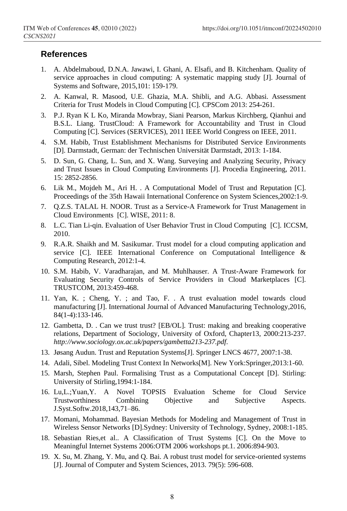## **References**

- 1. A. Abdelmaboud, D.N.A. Jawawi, I. Ghani, A. Elsafi, and B. Kitchenham. Quality of service approaches in cloud computing: A systematic mapping study [J]. Journal of Systems and Software, 2015,101: 159-179.
- 2. A. Kanwal, R. Masood, U.E. Ghazia, M.A. Shibli, and A.G. Abbasi. Assessment Criteria for Trust Models in Cloud Computing [C]. CPSCom 2013: 254-261.
- 3. P.J. Ryan K L Ko, Miranda Mowbray, Siani Pearson, Markus Kirchberg, Qianhui and B.S.L. Liang. TrustCloud: A Framework for Accountability and Trust in Cloud Computing [C]. Services (SERVICES), 2011 IEEE World Congress on IEEE, 2011.
- 4. S.M. Habib, Trust Establishment Mechanisms for Distributed Service Environments [D]. Darmstadt, German: der Technischen Universität Darmstadt, 2013: 1-184.
- 5. D. Sun, G. Chang, L. Sun, and X. Wang. Surveying and Analyzing Security, Privacy and Trust Issues in Cloud Computing Environments [J]. Procedia Engineering, 2011. 15: 2852-2856.
- 6. Lik M., Mojdeh M., Ari H. . A Computational Model of Trust and Reputation [C]. Proceedings of the 35th Hawaii International Conference on System Sciences,2002:1-9.
- 7. Q.Z.S. TALAL H. NOOR. Trust as a Service-A Framework for Trust Management in Cloud Environments [C]. WISE, 2011: 8.
- 8. L.C. Tian Li-qin. Evaluation of User Behavior Trust in Cloud Computing [C]. ICCSM, 2010.
- 9. R.A.R. Shaikh and M. Sasikumar. Trust model for a cloud computing application and service [C]. IEEE International Conference on Computational Intelligence & Computing Research, 2012:1-4.
- 10. S.M. Habib, V. Varadharajan, and M. Muhlhauser. A Trust-Aware Framework for Evaluating Security Controls of Service Providers in Cloud Marketplaces [C]. TRUSTCOM, 2013:459-468.
- 11. Yan, K. ; Cheng, Y. ; and Tao, F. . A trust evaluation model towards cloud manufacturing [J]. International Journal of Advanced Manufacturing Technology,2016, 84(1-4):133-146.
- 12. Gambetta, D. . Can we trust trust? [EB/OL]. Trust: making and breaking cooperative relations, Department of Sociology, University of Oxford, Chapter13, 2000:213-237. *http://www.sociology.ox.ac.uk/papers/gambetta213-237.pdf*.
- 13. Jøsang Audun. Trust and Reputation Systems[J]. Springer LNCS 4677, 2007:1-38.
- 14. Adali, Sibel. Modeling Trust Context In Networks[M]. New York:Springer,2013:1-60.
- 15. Marsh, Stephen Paul. Formalising Trust as a Computational Concept [D]. Stirling: University of Stirling,1994:1-184.
- 16. Lu,L.;Yuan,Y. A Novel TOPSIS Evaluation Scheme for Cloud Service Trustworthiness Combining Objective and Subjective Aspects. J.Syst.Softw.2018,143,71–86.
- 17. Momani, Mohammad. Bayesian Methods for Modeling and Management of Trust in Wireless Sensor Networks [D].Sydney: University of Technology, Sydney, 2008:1-185.
- 18. Sebastian Ries,et al.. A Classification of Trust Systems [C]. On the Move to Meaningful Internet Systems 2006:OTM 2006 workshops pt.1. 2006:894-903.
- 19. X. Su, M. Zhang, Y. Mu, and Q. Bai. A robust trust model for service-oriented systems [J]. Journal of Computer and System Sciences, 2013. 79(5): 596-608.